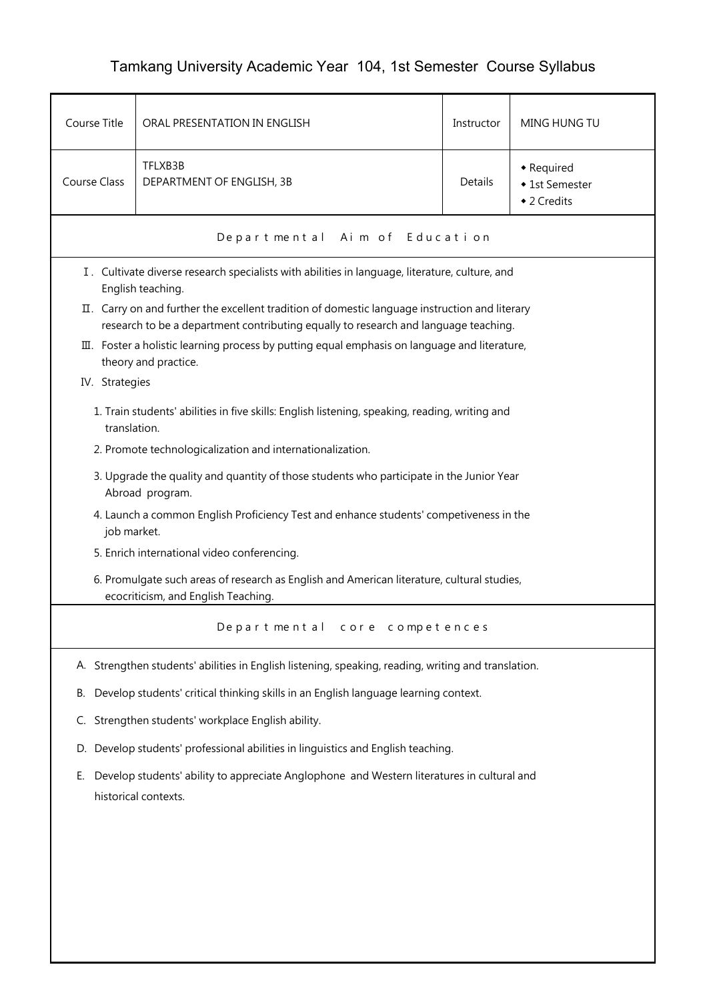## Tamkang University Academic Year 104, 1st Semester Course Syllabus

| Course Title        | ORAL PRESENTATION IN ENGLISH                                                                                                                                                          | Instructor | MING HUNG TU                                |  |  |  |
|---------------------|---------------------------------------------------------------------------------------------------------------------------------------------------------------------------------------|------------|---------------------------------------------|--|--|--|
| <b>Course Class</b> | TFLXB3B<br>DEPARTMENT OF ENGLISH, 3B                                                                                                                                                  | Details    | • Required<br>◆ 1st Semester<br>◆ 2 Credits |  |  |  |
|                     | Departmental Aim of Education                                                                                                                                                         |            |                                             |  |  |  |
|                     | I. Cultivate diverse research specialists with abilities in language, literature, culture, and<br>English teaching.                                                                   |            |                                             |  |  |  |
|                     | II. Carry on and further the excellent tradition of domestic language instruction and literary<br>research to be a department contributing equally to research and language teaching. |            |                                             |  |  |  |
|                     | III. Foster a holistic learning process by putting equal emphasis on language and literature,<br>theory and practice.                                                                 |            |                                             |  |  |  |
| IV. Strategies      |                                                                                                                                                                                       |            |                                             |  |  |  |
|                     | 1. Train students' abilities in five skills: English listening, speaking, reading, writing and<br>translation.                                                                        |            |                                             |  |  |  |
|                     | 2. Promote technologicalization and internationalization.                                                                                                                             |            |                                             |  |  |  |
|                     | 3. Upgrade the quality and quantity of those students who participate in the Junior Year<br>Abroad program.                                                                           |            |                                             |  |  |  |
|                     | 4. Launch a common English Proficiency Test and enhance students' competiveness in the<br>job market.                                                                                 |            |                                             |  |  |  |
|                     | 5. Enrich international video conferencing.                                                                                                                                           |            |                                             |  |  |  |
|                     | 6. Promulgate such areas of research as English and American literature, cultural studies,<br>ecocriticism, and English Teaching.                                                     |            |                                             |  |  |  |
|                     | Departmental core competences                                                                                                                                                         |            |                                             |  |  |  |
|                     | A. Strengthen students' abilities in English listening, speaking, reading, writing and translation.                                                                                   |            |                                             |  |  |  |
| В.                  | Develop students' critical thinking skills in an English language learning context.                                                                                                   |            |                                             |  |  |  |
| C.                  | Strengthen students' workplace English ability.                                                                                                                                       |            |                                             |  |  |  |
| D.                  | Develop students' professional abilities in linguistics and English teaching.                                                                                                         |            |                                             |  |  |  |
| Е.                  | Develop students' ability to appreciate Anglophone and Western literatures in cultural and<br>historical contexts.                                                                    |            |                                             |  |  |  |
|                     |                                                                                                                                                                                       |            |                                             |  |  |  |
|                     |                                                                                                                                                                                       |            |                                             |  |  |  |
|                     |                                                                                                                                                                                       |            |                                             |  |  |  |
|                     |                                                                                                                                                                                       |            |                                             |  |  |  |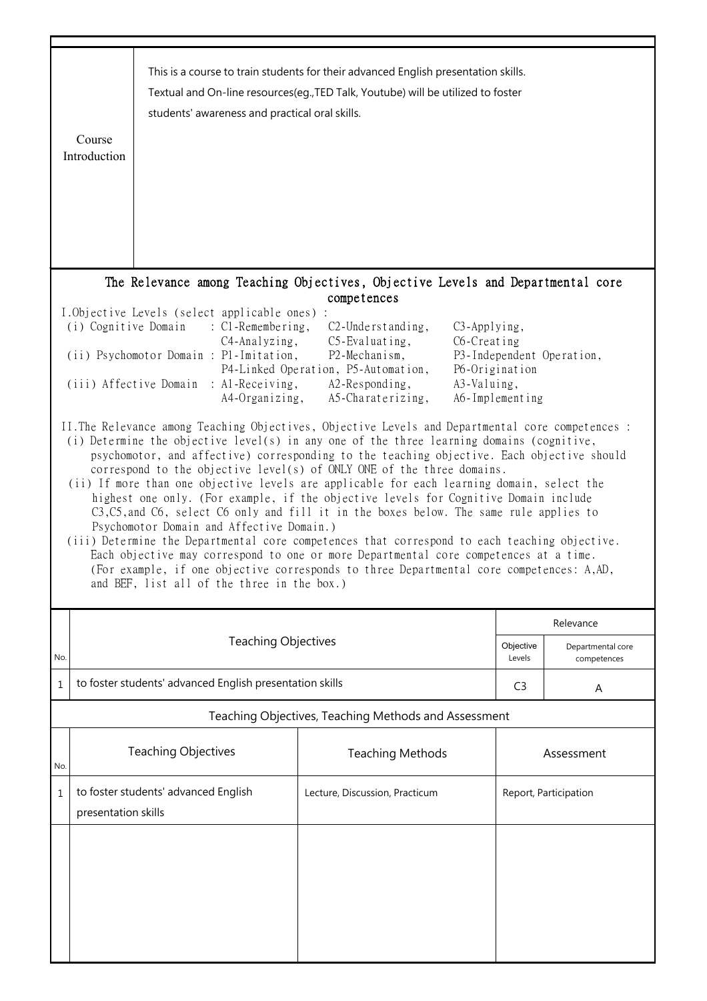|     | Course<br>Introduction                                                                                                                                                                                                                                                                                                                                                                                                                                                                                                                                                                                                                                                                                                                                                                                                                                                                                                                                                                                                                                                                                                                                                                                                                                                                                                                                                                                                                                                                                                                                     | students' awareness and practical oral skills.           | This is a course to train students for their advanced English presentation skills.<br>Textual and On-line resources(eg., TED Talk, Youtube) will be utilized to foster |                     |                                  |  |  |
|-----|------------------------------------------------------------------------------------------------------------------------------------------------------------------------------------------------------------------------------------------------------------------------------------------------------------------------------------------------------------------------------------------------------------------------------------------------------------------------------------------------------------------------------------------------------------------------------------------------------------------------------------------------------------------------------------------------------------------------------------------------------------------------------------------------------------------------------------------------------------------------------------------------------------------------------------------------------------------------------------------------------------------------------------------------------------------------------------------------------------------------------------------------------------------------------------------------------------------------------------------------------------------------------------------------------------------------------------------------------------------------------------------------------------------------------------------------------------------------------------------------------------------------------------------------------------|----------------------------------------------------------|------------------------------------------------------------------------------------------------------------------------------------------------------------------------|---------------------|----------------------------------|--|--|
|     |                                                                                                                                                                                                                                                                                                                                                                                                                                                                                                                                                                                                                                                                                                                                                                                                                                                                                                                                                                                                                                                                                                                                                                                                                                                                                                                                                                                                                                                                                                                                                            |                                                          | The Relevance among Teaching Objectives, Objective Levels and Departmental core                                                                                        |                     |                                  |  |  |
|     | competences<br>I.Objective Levels (select applicable ones) :<br>(i) Cognitive Domain<br>: C1-Remembering,<br>$C2$ -Understanding,<br>C <sub>3</sub> -Applying,<br>$C5$ -Evaluating,<br>C6-Creating<br>$C4$ -Analyzing,<br>(ii) Psychomotor Domain : P1-Imitation,<br>P2-Mechanism,<br>P3-Independent Operation,<br>P4-Linked Operation, P5-Automation,<br>P6-Origination<br>(iii) Affective Domain : Al-Receiving,<br>A2-Responding,<br>A3-Valuing,<br>A4-Organizing,<br>A5-Charaterizing,<br>A6-Implementing<br>II. The Relevance among Teaching Objectives, Objective Levels and Departmental core competences :<br>(i) Determine the objective level(s) in any one of the three learning domains (cognitive,<br>psychomotor, and affective) corresponding to the teaching objective. Each objective should<br>correspond to the objective level(s) of ONLY ONE of the three domains.<br>(ii) If more than one objective levels are applicable for each learning domain, select the<br>highest one only. (For example, if the objective levels for Cognitive Domain include<br>C3, C5, and C6, select C6 only and fill it in the boxes below. The same rule applies to<br>Psychomotor Domain and Affective Domain.)<br>(iii) Determine the Departmental core competences that correspond to each teaching objective.<br>Each objective may correspond to one or more Departmental core competences at a time.<br>(For example, if one objective corresponds to three Departmental core competences: A,AD,<br>and BEF, list all of the three in the box.) |                                                          |                                                                                                                                                                        |                     |                                  |  |  |
|     |                                                                                                                                                                                                                                                                                                                                                                                                                                                                                                                                                                                                                                                                                                                                                                                                                                                                                                                                                                                                                                                                                                                                                                                                                                                                                                                                                                                                                                                                                                                                                            |                                                          |                                                                                                                                                                        | Relevance           |                                  |  |  |
| No. |                                                                                                                                                                                                                                                                                                                                                                                                                                                                                                                                                                                                                                                                                                                                                                                                                                                                                                                                                                                                                                                                                                                                                                                                                                                                                                                                                                                                                                                                                                                                                            | <b>Teaching Objectives</b>                               |                                                                                                                                                                        | Objective<br>Levels | Departmental core<br>competences |  |  |
| 1   |                                                                                                                                                                                                                                                                                                                                                                                                                                                                                                                                                                                                                                                                                                                                                                                                                                                                                                                                                                                                                                                                                                                                                                                                                                                                                                                                                                                                                                                                                                                                                            | to foster students' advanced English presentation skills |                                                                                                                                                                        | C <sub>3</sub>      | Α                                |  |  |
|     | Teaching Objectives, Teaching Methods and Assessment                                                                                                                                                                                                                                                                                                                                                                                                                                                                                                                                                                                                                                                                                                                                                                                                                                                                                                                                                                                                                                                                                                                                                                                                                                                                                                                                                                                                                                                                                                       |                                                          |                                                                                                                                                                        |                     |                                  |  |  |
| No. |                                                                                                                                                                                                                                                                                                                                                                                                                                                                                                                                                                                                                                                                                                                                                                                                                                                                                                                                                                                                                                                                                                                                                                                                                                                                                                                                                                                                                                                                                                                                                            | <b>Teaching Objectives</b>                               | <b>Teaching Methods</b>                                                                                                                                                |                     | Assessment                       |  |  |
| 1   | presentation skills                                                                                                                                                                                                                                                                                                                                                                                                                                                                                                                                                                                                                                                                                                                                                                                                                                                                                                                                                                                                                                                                                                                                                                                                                                                                                                                                                                                                                                                                                                                                        | to foster students' advanced English                     | Lecture, Discussion, Practicum                                                                                                                                         |                     | Report, Participation            |  |  |
|     |                                                                                                                                                                                                                                                                                                                                                                                                                                                                                                                                                                                                                                                                                                                                                                                                                                                                                                                                                                                                                                                                                                                                                                                                                                                                                                                                                                                                                                                                                                                                                            |                                                          |                                                                                                                                                                        |                     |                                  |  |  |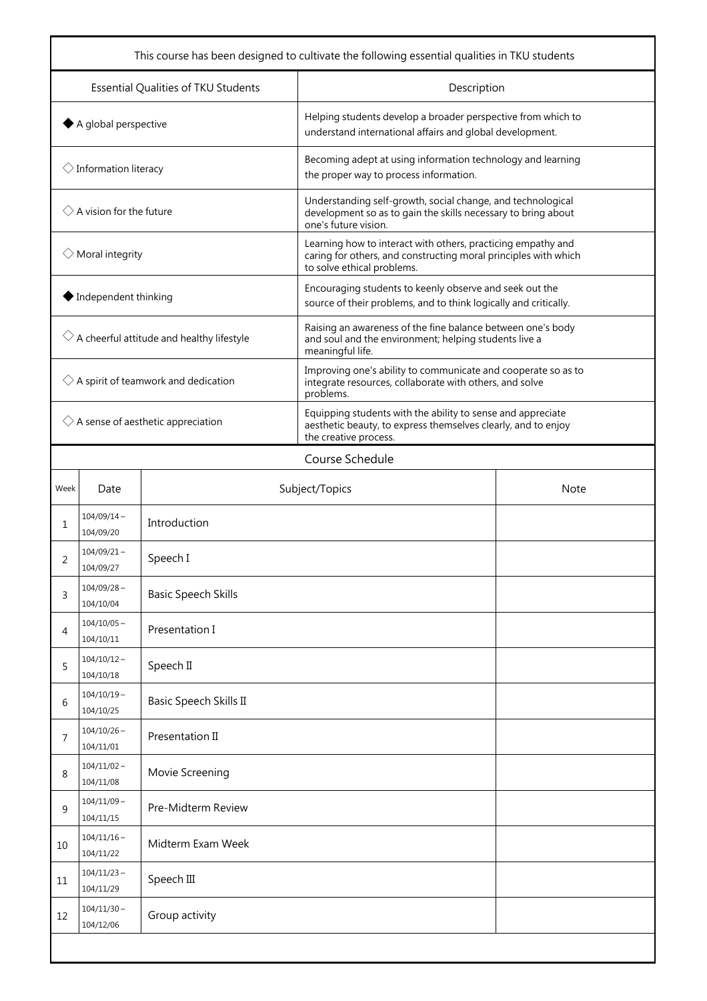| This course has been designed to cultivate the following essential qualities in TKU students |                               |                            |                                                                                                                                                               |             |  |
|----------------------------------------------------------------------------------------------|-------------------------------|----------------------------|---------------------------------------------------------------------------------------------------------------------------------------------------------------|-------------|--|
| Essential Qualities of TKU Students                                                          |                               |                            | Description                                                                                                                                                   |             |  |
| $\blacklozenge$ A global perspective                                                         |                               |                            | Helping students develop a broader perspective from which to<br>understand international affairs and global development.                                      |             |  |
| $\Diamond$ Information literacy                                                              |                               |                            | Becoming adept at using information technology and learning<br>the proper way to process information.                                                         |             |  |
| $\Diamond$ A vision for the future                                                           |                               |                            | Understanding self-growth, social change, and technological<br>development so as to gain the skills necessary to bring about<br>one's future vision.          |             |  |
| $\diamondsuit$ Moral integrity                                                               |                               |                            | Learning how to interact with others, practicing empathy and<br>caring for others, and constructing moral principles with which<br>to solve ethical problems. |             |  |
| $\blacklozenge$ Independent thinking                                                         |                               |                            | Encouraging students to keenly observe and seek out the<br>source of their problems, and to think logically and critically.                                   |             |  |
| $\Diamond$ A cheerful attitude and healthy lifestyle                                         |                               |                            | Raising an awareness of the fine balance between one's body<br>and soul and the environment; helping students live a<br>meaningful life.                      |             |  |
| $\Diamond$ A spirit of teamwork and dedication                                               |                               |                            | Improving one's ability to communicate and cooperate so as to<br>integrate resources, collaborate with others, and solve<br>problems.                         |             |  |
| $\Diamond$ A sense of aesthetic appreciation                                                 |                               |                            | Equipping students with the ability to sense and appreciate<br>aesthetic beauty, to express themselves clearly, and to enjoy<br>the creative process.         |             |  |
|                                                                                              | Course Schedule               |                            |                                                                                                                                                               |             |  |
| Week                                                                                         | Date                          |                            | Subject/Topics                                                                                                                                                | <b>Note</b> |  |
| 1                                                                                            | $104/09/14 \sim$<br>104/09/20 | Introduction               |                                                                                                                                                               |             |  |
| 2                                                                                            | $104/09/21$ ~<br>104/09/27    | Speech I                   |                                                                                                                                                               |             |  |
| 3                                                                                            | $104/09/28$ ~<br>104/10/04    | <b>Basic Speech Skills</b> |                                                                                                                                                               |             |  |
| 4                                                                                            | $104/10/05 \sim$<br>104/10/11 | Presentation I             |                                                                                                                                                               |             |  |
| 5                                                                                            | $104/10/12 \sim$<br>104/10/18 | Speech II                  |                                                                                                                                                               |             |  |
| 6                                                                                            | $104/10/19 \sim$<br>104/10/25 | Basic Speech Skills II     |                                                                                                                                                               |             |  |
| 7                                                                                            | $104/10/26$ ~<br>104/11/01    | Presentation II            |                                                                                                                                                               |             |  |
| 8                                                                                            | $104/11/02 \sim$<br>104/11/08 | Movie Screening            |                                                                                                                                                               |             |  |
| 9                                                                                            | $104/11/09$ ~<br>104/11/15    | Pre-Midterm Review         |                                                                                                                                                               |             |  |
| 10                                                                                           | $104/11/16$ ~<br>104/11/22    | Midterm Exam Week          |                                                                                                                                                               |             |  |
| 11                                                                                           | $104/11/23$ ~<br>104/11/29    | Speech III                 |                                                                                                                                                               |             |  |
| 12                                                                                           | $104/11/30 \sim$<br>104/12/06 | Group activity             |                                                                                                                                                               |             |  |
|                                                                                              |                               |                            |                                                                                                                                                               |             |  |